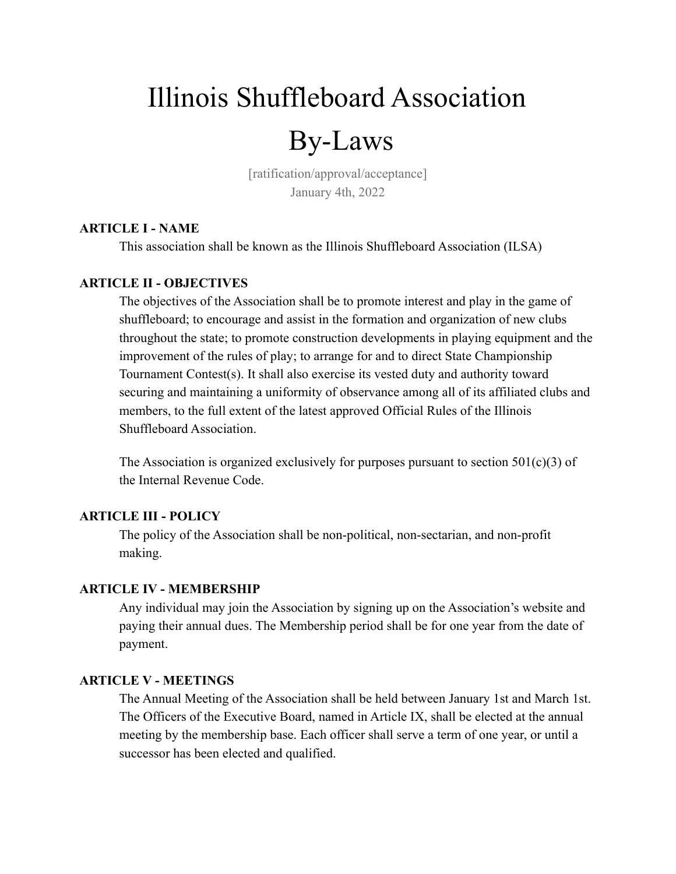# Illinois Shuffleboard Association

# By-Laws

[ratification/approval/acceptance] January 4th, 2022

# **ARTICLE I - NAME**

This association shall be known as the Illinois Shuffleboard Association (ILSA)

# **ARTICLE II - OBJECTIVES**

The objectives of the Association shall be to promote interest and play in the game of shuffleboard; to encourage and assist in the formation and organization of new clubs throughout the state; to promote construction developments in playing equipment and the improvement of the rules of play; to arrange for and to direct State Championship Tournament Contest(s). It shall also exercise its vested duty and authority toward securing and maintaining a uniformity of observance among all of its affiliated clubs and members, to the full extent of the latest approved Official Rules of the Illinois Shuffleboard Association.

The Association is organized exclusively for purposes pursuant to section  $501(c)(3)$  of the Internal Revenue Code.

# **ARTICLE III - POLICY**

The policy of the Association shall be non-political, non-sectarian, and non-profit making.

# **ARTICLE IV - MEMBERSHIP**

Any individual may join the Association by signing up on the Association's website and paying their annual dues. The Membership period shall be for one year from the date of payment.

# **ARTICLE V - MEETINGS**

The Annual Meeting of the Association shall be held between January 1st and March 1st. The Officers of the Executive Board, named in Article IX, shall be elected at the annual meeting by the membership base. Each officer shall serve a term of one year, or until a successor has been elected and qualified.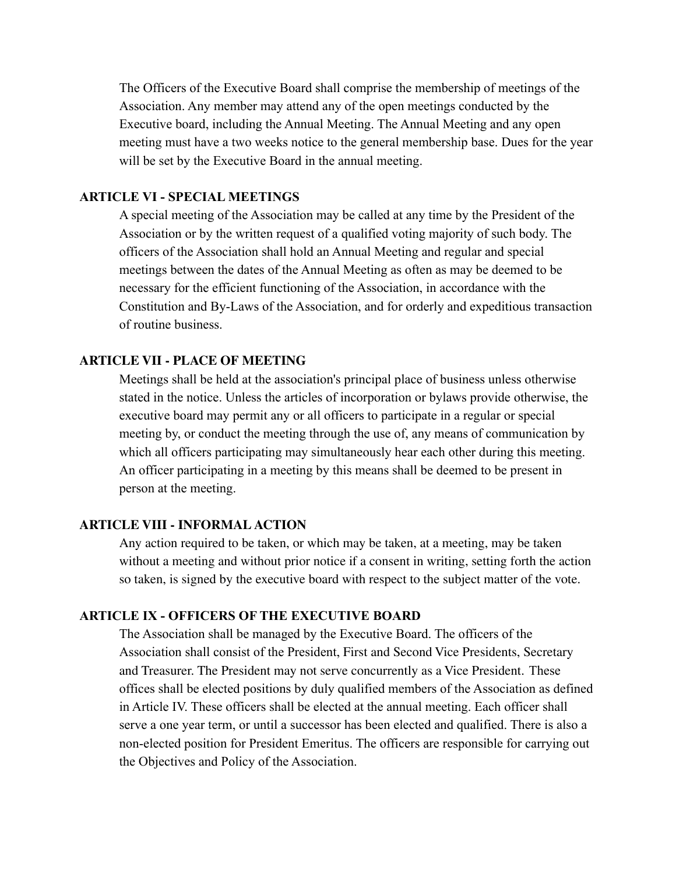The Officers of the Executive Board shall comprise the membership of meetings of the Association. Any member may attend any of the open meetings conducted by the Executive board, including the Annual Meeting. The Annual Meeting and any open meeting must have a two weeks notice to the general membership base. Dues for the year will be set by the Executive Board in the annual meeting.

# **ARTICLE VI - SPECIAL MEETINGS**

A special meeting of the Association may be called at any time by the President of the Association or by the written request of a qualified voting majority of such body. The officers of the Association shall hold an Annual Meeting and regular and special meetings between the dates of the Annual Meeting as often as may be deemed to be necessary for the efficient functioning of the Association, in accordance with the Constitution and By-Laws of the Association, and for orderly and expeditious transaction of routine business.

# **ARTICLE VII - PLACE OF MEETING**

Meetings shall be held at the association's principal place of business unless otherwise stated in the notice. Unless the articles of incorporation or bylaws provide otherwise, the executive board may permit any or all officers to participate in a regular or special meeting by, or conduct the meeting through the use of, any means of communication by which all officers participating may simultaneously hear each other during this meeting. An officer participating in a meeting by this means shall be deemed to be present in person at the meeting.

#### **ARTICLE VIII - INFORMAL ACTION**

Any action required to be taken, or which may be taken, at a meeting, may be taken without a meeting and without prior notice if a consent in writing, setting forth the action so taken, is signed by the executive board with respect to the subject matter of the vote.

# **ARTICLE IX - OFFICERS OF THE EXECUTIVE BOARD**

The Association shall be managed by the Executive Board. The officers of the Association shall consist of the President, First and Second Vice Presidents, Secretary and Treasurer. The President may not serve concurrently as a Vice President. These offices shall be elected positions by duly qualified members of the Association as defined in Article IV. These officers shall be elected at the annual meeting. Each officer shall serve a one year term, or until a successor has been elected and qualified. There is also a non-elected position for President Emeritus. The officers are responsible for carrying out the Objectives and Policy of the Association.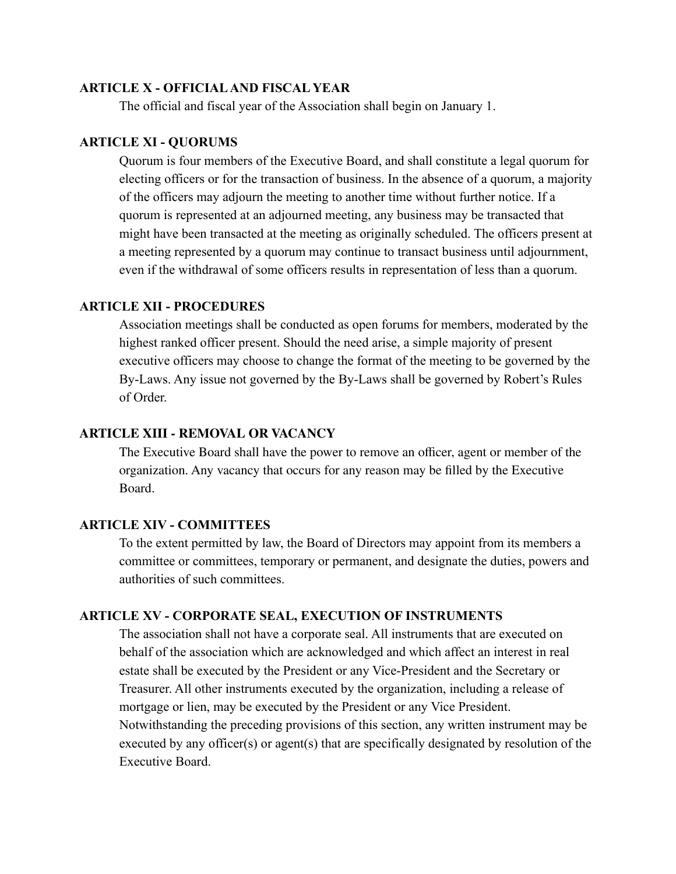#### **ARTICLE X - OFFICIAL AND FISCAL YEAR**

The official and fiscal year of the Association shall begin on January 1.

#### **ARTICLE XI - QUORUMS**

Quorum is four members of the Executive Board, and shall constitute a legal quorum for electing officers or for the transaction of business. In the absence of a quorum, a majority of the officers may adjourn the meeting to another time without further notice. If a quorum is represented at an adjourned meeting, any business may be transacted that might have been transacted at the meeting as originally scheduled. The officers present at a meeting represented by a quorum may continue to transact business until adjournment, even if the withdrawal of some officers results in representation of less than a quorum.

# **ARTICLE XII - PROCEDURES**

Association meetings shall be conducted as open forums for members, moderated by the highest ranked officer present. Should the need arise, a simple majority of present executive officers may choose to change the format of the meeting to be governed by the By-Laws. Any issue not governed by the By-Laws shall be governed by Robert's Rules of Order.

#### **ARTICLE XIII - REMOVAL OR VACANCY**

The Executive Board shall have the power to remove an officer, agent or member of the organization. Any vacancy that occurs for any reason may be filled by the Executive Board.

# **ARTICLE XIV - COMMITTEES**

To the extent permitted by law, the Board of Directors may appoint from its members a committee or committees, temporary or permanent, and designate the duties, powers and authorities of such committees.

#### **ARTICLE XV - CORPORATE SEAL, EXECUTION OF INSTRUMENTS**

The association shall not have a corporate seal. All instruments that are executed on behalf of the association which are acknowledged and which affect an interest in real estate shall be executed by the President or any Vice-President and the Secretary or Treasurer. All other instruments executed by the organization, including a release of mortgage or lien, may be executed by the President or any Vice President. Notwithstanding the preceding provisions of this section, any written instrument may be executed by any officer(s) or agent(s) that are specifically designated by resolution of the Executive Board.